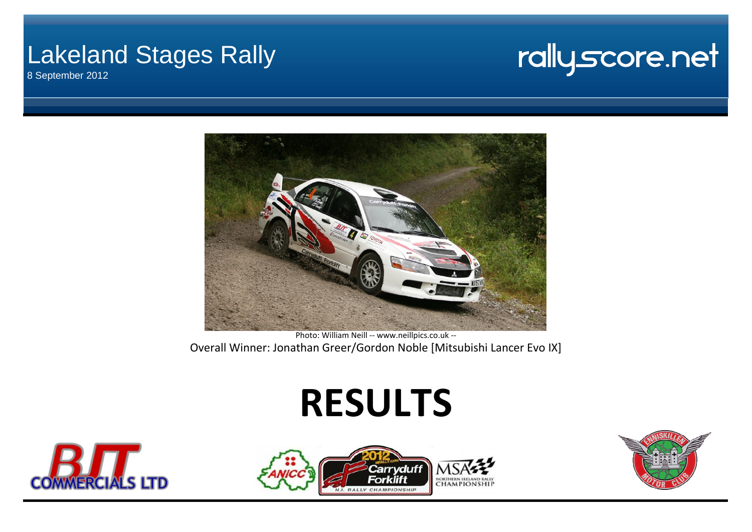## Lakeland Stages Rally

8 September 2012

## rallyscore.net



[P](http://www.neillpics.co.uk/)hoto: William Neill -- www.neillpics.co.uk -- Overall Winner: Jonathan Greer/Gordon Noble [Mitsubishi Lancer Evo IX]

# **RESULTS**





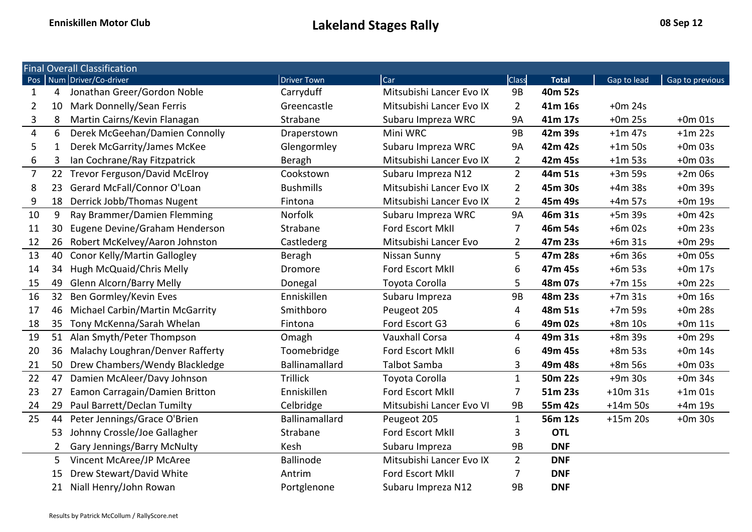|                |                 | <b>Final Overall Classification</b> |                       |                          |                |              |             |                 |
|----------------|-----------------|-------------------------------------|-----------------------|--------------------------|----------------|--------------|-------------|-----------------|
|                |                 | Pos Num Driver/Co-driver            | <b>Driver Town</b>    | Car                      | Class          | <b>Total</b> | Gap to lead | Gap to previous |
| 1              | 4               | Jonathan Greer/Gordon Noble         | Carryduff             | Mitsubishi Lancer Evo IX | 9B             | 40m 52s      |             |                 |
| $\overline{2}$ | 10              | Mark Donnelly/Sean Ferris           | Greencastle           | Mitsubishi Lancer Evo IX | $\overline{2}$ | 41m 16s      | $+0m$ 24s   |                 |
| 3              | 8               | Martin Cairns/Kevin Flanagan        | Strabane              | Subaru Impreza WRC       | <b>9A</b>      | 41m 17s      | $+0m$ 25s   | $+0m$ 01s       |
| $\overline{4}$ | 6               | Derek McGeehan/Damien Connolly      | Draperstown           | Mini WRC                 | <b>9B</b>      | 42m 39s      | $+1m$ 47s   | $+1m$ 22s       |
| 5              | 1               | Derek McGarrity/James McKee         | Glengormley           | Subaru Impreza WRC       | <b>9A</b>      | 42m 42s      | $+1m$ 50s   | $+0m$ 03s       |
| 6              | 3               | Ian Cochrane/Ray Fitzpatrick        | Beragh                | Mitsubishi Lancer Evo IX | $\overline{2}$ | 42m 45s      | $+1m$ 53s   | $+0m$ 03s       |
| $\overline{7}$ |                 | 22 Trevor Ferguson/David McElroy    | Cookstown             | Subaru Impreza N12       | $2^{\circ}$    | 44m 51s      | $+3m$ 59s   | $+2m$ 06s       |
| 8              | 23              | Gerard McFall/Connor O'Loan         | <b>Bushmills</b>      | Mitsubishi Lancer Evo IX | $\overline{2}$ | 45m 30s      | $+4m$ 38s   | $+0m$ 39s       |
| 9              | 18              | Derrick Jobb/Thomas Nugent          | Fintona               | Mitsubishi Lancer Evo IX | $\overline{2}$ | 45m 49s      | $+4m$ 57s   | $+0m$ 19s       |
| 10             | 9               | Ray Brammer/Damien Flemming         | Norfolk               | Subaru Impreza WRC       | <b>9A</b>      | 46m 31s      | $+5m$ 39s   | $+0m$ 42s       |
| 11             | 30              | Eugene Devine/Graham Henderson      | Strabane              | Ford Escort MkII         | 7              | 46m 54s      | $+6m$ 02s   | $+0m$ 23s       |
| 12             | 26              | Robert McKelvey/Aaron Johnston      | Castlederg            | Mitsubishi Lancer Evo    | $\overline{2}$ | 47m 23s      | $+6m31s$    | $+0m$ 29s       |
| 13             | 40              | Conor Kelly/Martin Gallogley        | Beragh                | Nissan Sunny             | 5              | 47m 28s      | $+6m$ 36s   | $+0m$ 05s       |
| 14             | 34              | Hugh McQuaid/Chris Melly            | Dromore               | Ford Escort MkII         | 6              | 47m 45s      | $+6m$ 53s   | $+0m$ 17s       |
| 15             | 49              | Glenn Alcorn/Barry Melly            | Donegal               | Toyota Corolla           | 5              | 48m 07s      | $+7m$ 15s   | $+0m$ 22s       |
| 16             | 32 <sup>2</sup> | Ben Gormley/Kevin Eves              | Enniskillen           | Subaru Impreza           | <b>9B</b>      | 48m 23s      | $+7m$ 31s   | $+0m$ 16s       |
| 17             | 46              | Michael Carbin/Martin McGarrity     | Smithboro             | Peugeot 205              | 4              | 48m 51s      | $+7m$ 59s   | $+0m$ 28s       |
| 18             | 35              | Tony McKenna/Sarah Whelan           | Fintona               | Ford Escort G3           | 6              | 49m 02s      | $+8m$ 10s   | $+0m$ 11s       |
| 19             | 51              | Alan Smyth/Peter Thompson           | Omagh                 | <b>Vauxhall Corsa</b>    | 4              | 49m 31s      | $+8m$ 39s   | $+0m$ 29s       |
| 20             | 36              | Malachy Loughran/Denver Rafferty    | Toomebridge           | Ford Escort MkII         | 6              | 49m 45s      | $+8m$ 53s   | $+0m$ 14s       |
| 21             | 50              | Drew Chambers/Wendy Blackledge      | <b>Ballinamallard</b> | Talbot Samba             | 3              | 49m 48s      | $+8m$ 56s   | $+0m$ 03s       |
| 22             | 47              | Damien McAleer/Davy Johnson         | <b>Trillick</b>       | Toyota Corolla           | $\mathbf{1}$   | 50m 22s      | $+9m$ 30s   | $+0m$ 34s       |
| 23             | 27              | Eamon Carragain/Damien Britton      | Enniskillen           | Ford Escort MkII         | 7              | 51m 23s      | $+10m$ 31s  | $+1m$ 01s       |
| 24             | 29              | Paul Barrett/Declan Tumilty         | Celbridge             | Mitsubishi Lancer Evo VI | 9B             | 55m 42s      | $+14m$ 50s  | $+4m$ 19s       |
| 25             | 44              | Peter Jennings/Grace O'Brien        | Ballinamallard        | Peugeot 205              | $\mathbf{1}$   | 56m 12s      | $+15m$ 20s  | $+0m$ 30s       |
|                | 53              | Johnny Crossle/Joe Gallagher        | Strabane              | Ford Escort MkII         | 3              | <b>OTL</b>   |             |                 |
|                | 2               | Gary Jennings/Barry McNulty         | Kesh                  | Subaru Impreza           | <b>9B</b>      | <b>DNF</b>   |             |                 |
|                | 5               | Vincent McAree/JP McAree            | <b>Ballinode</b>      | Mitsubishi Lancer Evo IX | $\overline{2}$ | <b>DNF</b>   |             |                 |
|                | 15              | Drew Stewart/David White            | Antrim                | Ford Escort MkII         | 7              | <b>DNF</b>   |             |                 |
|                | 21              | Niall Henry/John Rowan              | Portglenone           | Subaru Impreza N12       | 9B             | <b>DNF</b>   |             |                 |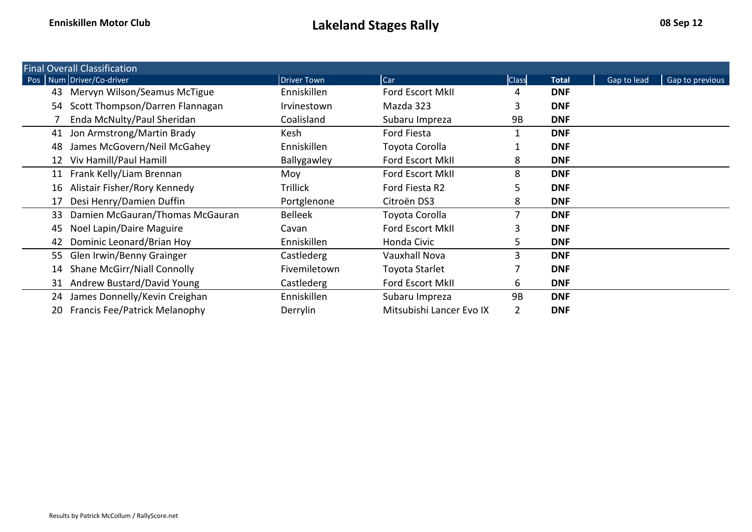|    | <b>Final Overall Classification</b>  |                    |                          |              |              |             |                 |
|----|--------------------------------------|--------------------|--------------------------|--------------|--------------|-------------|-----------------|
|    | Pos   Num Driver/Co-driver           | <b>Driver Town</b> | <b>Car</b>               | <b>Class</b> | <b>Total</b> | Gap to lead | Gap to previous |
| 43 | Mervyn Wilson/Seamus McTigue         | Enniskillen        | Ford Escort MkII         | 4            | <b>DNF</b>   |             |                 |
| 54 | Scott Thompson/Darren Flannagan      | Irvinestown        | Mazda 323                | 3            | <b>DNF</b>   |             |                 |
|    | Enda McNulty/Paul Sheridan           | Coalisland         | Subaru Impreza           | 9B           | <b>DNF</b>   |             |                 |
| 41 | Jon Armstrong/Martin Brady           | Kesh               | <b>Ford Fiesta</b>       |              | <b>DNF</b>   |             |                 |
| 48 | James McGovern/Neil McGahey          | Enniskillen        | Toyota Corolla           |              | <b>DNF</b>   |             |                 |
| 12 | Viv Hamill/Paul Hamill               | Ballygawley        | <b>Ford Escort MkII</b>  | 8            | <b>DNF</b>   |             |                 |
| 11 | Frank Kelly/Liam Brennan             | Moy                | <b>Ford Escort MkII</b>  | 8            | <b>DNF</b>   |             |                 |
| 16 | Alistair Fisher/Rory Kennedy         | <b>Trillick</b>    | Ford Fiesta R2           | 5            | <b>DNF</b>   |             |                 |
| 17 | Desi Henry/Damien Duffin             | Portglenone        | Citroën DS3              | 8            | <b>DNF</b>   |             |                 |
| 33 | Damien McGauran/Thomas McGauran      | <b>Belleek</b>     | Toyota Corolla           |              | <b>DNF</b>   |             |                 |
| 45 | Noel Lapin/Daire Maguire             | Cavan              | <b>Ford Escort MkII</b>  | з            | <b>DNF</b>   |             |                 |
| 42 | Dominic Leonard/Brian Hoy            | Enniskillen        | Honda Civic              | 5            | <b>DNF</b>   |             |                 |
| 55 | Glen Irwin/Benny Grainger            | Castlederg         | <b>Vauxhall Nova</b>     | 3            | <b>DNF</b>   |             |                 |
| 14 | Shane McGirr/Niall Connolly          | Fivemiletown       | Toyota Starlet           |              | <b>DNF</b>   |             |                 |
|    | 31 Andrew Bustard/David Young        | Castlederg         | Ford Escort MkII         | 6            | <b>DNF</b>   |             |                 |
| 24 | James Donnelly/Kevin Creighan        | Enniskillen        | Subaru Impreza           | 9B           | <b>DNF</b>   |             |                 |
| 20 | <b>Francis Fee/Patrick Melanophy</b> | Derrylin           | Mitsubishi Lancer Evo IX | 2            | <b>DNF</b>   |             |                 |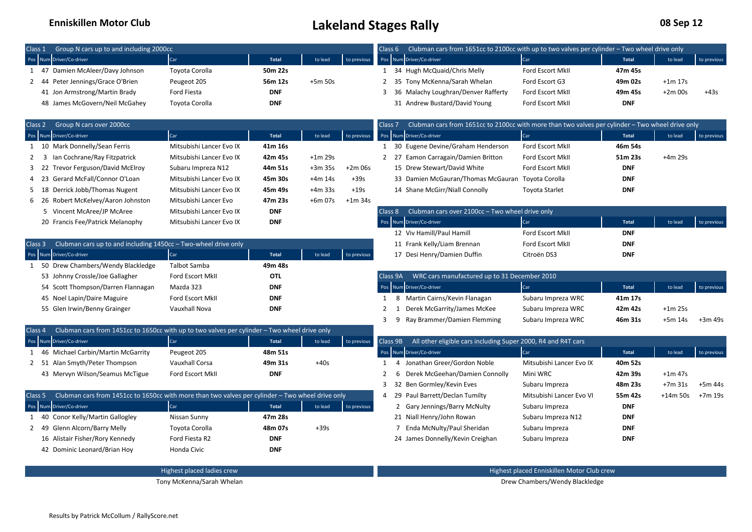### **Enniskillen Motor Club Club 128 September 20 Sep 122 Sep 122 Sep 122 Sep 122 Sep 122 Sep 122 Sep 122 Sep 122 Sep 122 Sep 122 Sep 122 Sep 122 Sep 122 Sep 122 Sep 122 Sep 122 Sep 122 Sep 122 Sep 122 Sep 122 Sep 122 Sep**

| 08 Sep 12 |  |
|-----------|--|
|-----------|--|

| Group N cars up to and including 2000cc<br>Class 1                                                       |                            |              |           |             | Class 6            | Clubman cars from 1651cc to 2100cc with up to two valves per cylinder - Two wheel drive only     |                                            |              |            |             |
|----------------------------------------------------------------------------------------------------------|----------------------------|--------------|-----------|-------------|--------------------|--------------------------------------------------------------------------------------------------|--------------------------------------------|--------------|------------|-------------|
| Pos Num Driver/Co-driver                                                                                 | Car                        | <b>Total</b> | to lead   | to previous |                    | Pos Num Driver/Co-driver                                                                         | Car                                        | <b>Total</b> | to lead    | to previous |
| 47 Damien McAleer/Davy Johnson<br>1                                                                      | Toyota Corolla             | 50m 22s      |           |             |                    | 1 34 Hugh McQuaid/Chris Melly                                                                    | <b>Ford Escort MkII</b>                    | 47m 45s      |            |             |
| 44 Peter Jennings/Grace O'Brien<br>2                                                                     | Peugeot 205                | 56m 12s      | $+5m$ 50s |             | 2                  | 35 Tony McKenna/Sarah Whelan                                                                     | Ford Escort G3                             | 49m 02s      | $+1m 17s$  |             |
| 41 Jon Armstrong/Martin Brady                                                                            | Ford Fiesta                | <b>DNF</b>   |           |             | 3                  | 36 Malachy Loughran/Denver Rafferty                                                              | Ford Escort MkII                           | 49m 45s      | $+2m$ 00s  | $+43s$      |
| 48 James McGovern/Neil McGahey                                                                           | Toyota Corolla             | <b>DNF</b>   |           |             |                    | 31 Andrew Bustard/David Young                                                                    | Ford Escort MkII                           | <b>DNF</b>   |            |             |
| Class 2 Group N cars over 2000cc                                                                         |                            |              |           |             | Class <sub>7</sub> | Clubman cars from 1651cc to 2100cc with more than two valves per cylinder - Two wheel drive only |                                            |              |            |             |
| Pos Num Driver/Co-driver                                                                                 | Car                        | <b>Total</b> | to lead   | to previous |                    | Pos Num Driver/Co-driver                                                                         | Car                                        | <b>Total</b> | to lead    | to previous |
| 10 Mark Donnelly/Sean Ferris<br>1                                                                        | Mitsubishi Lancer Evo IX   | 41m 16s      |           |             |                    | 1 30 Eugene Devine/Graham Henderson                                                              | Ford Escort MkII                           | 46m 54s      |            |             |
| Ian Cochrane/Ray Fitzpatrick<br>3                                                                        | Mitsubishi Lancer Evo IX   | 42m 45s      | $+1m$ 29s |             | $2^{\circ}$        | 27 Eamon Carragain/Damien Britton                                                                | Ford Escort MkII                           | 51m 23s      | +4m 29s    |             |
| 22 Trevor Ferguson/David McElroy                                                                         | Subaru Impreza N12         | 44m 51s      | $+3m35s$  | $+2m$ 06s   |                    | 15 Drew Stewart/David White                                                                      | Ford Escort MkII                           | <b>DNF</b>   |            |             |
| Gerard McFall/Connor O'Loan<br>23                                                                        | Mitsubishi Lancer Evo IX   | 45m 30s      | $+4m$ 14s | $+39s$      |                    | 33 Damien McGauran/Thomas McGauran Toyota Corolla                                                |                                            | <b>DNF</b>   |            |             |
| 18 Derrick Jobb/Thomas Nugent                                                                            | Mitsubishi Lancer Evo IX   | 45m 49s      | $+4m33s$  | $+19s$      |                    | 14 Shane McGirr/Niall Connolly                                                                   | <b>Toyota Starlet</b>                      | <b>DNF</b>   |            |             |
| 26 Robert McKelvey/Aaron Johnston<br>6                                                                   | Mitsubishi Lancer Evo      | 47m 23s      | +6m 07s   | $+1m$ 34s   |                    |                                                                                                  |                                            |              |            |             |
| 5 Vincent McAree/JP McAree                                                                               | Mitsubishi Lancer Evo IX   | <b>DNF</b>   |           |             | Class 8            | Clubman cars over 2100cc - Two wheel drive only                                                  |                                            |              |            |             |
| 20 Francis Fee/Patrick Melanophy                                                                         | Mitsubishi Lancer Evo IX   | <b>DNF</b>   |           |             |                    | Pos Num Driver/Co-driver                                                                         | Car                                        | <b>Total</b> | to lead    | to previous |
|                                                                                                          |                            |              |           |             |                    | 12 Viv Hamill/Paul Hamill                                                                        | Ford Escort MkII                           | <b>DNF</b>   |            |             |
| Class 3 Clubman cars up to and including 1450cc - Two-wheel drive only                                   |                            |              |           |             |                    | 11 Frank Kelly/Liam Brennan                                                                      | Ford Escort MkII                           | <b>DNF</b>   |            |             |
| Pos Num Driver/Co-driver                                                                                 | Car                        | <b>Total</b> | to lead   | to previous |                    | 17 Desi Henry/Damien Duffin                                                                      | Citroën DS3                                | <b>DNF</b>   |            |             |
| 1 50 Drew Chambers/Wendy Blackledge                                                                      | <b>Talbot Samba</b>        | 49m 48s      |           |             |                    |                                                                                                  |                                            |              |            |             |
| 53 Johnny Crossle/Joe Gallagher                                                                          | Ford Escort MkII           | OTL          |           |             | Class 9A           | WRC cars manufactured up to 31 December 2010                                                     |                                            |              |            |             |
| 54 Scott Thompson/Darren Flannagan                                                                       | Mazda 323                  | <b>DNF</b>   |           |             |                    | Pos Num Driver/Co-driver                                                                         | Car                                        | <b>Total</b> | to lead    | to previous |
| 45 Noel Lapin/Daire Maguire                                                                              | Ford Escort MkII           | <b>DNF</b>   |           |             | 1                  | 8 Martin Cairns/Kevin Flanagan                                                                   | Subaru Impreza WRC                         | 41m 17s      |            |             |
| 55 Glen Irwin/Benny Grainger                                                                             | Vauxhall Nova              | <b>DNF</b>   |           |             | 2<br>1             | Derek McGarrity/James McKee                                                                      | Subaru Impreza WRC                         | 42m 42s      | $+1m$ 25s  |             |
|                                                                                                          |                            |              |           |             | 3                  | 9 Ray Brammer/Damien Flemming                                                                    | Subaru Impreza WRC                         | 46m 31s      | $+5m$ 14s  | +3m 49s     |
| Class 4 Clubman cars from 1451cc to 1650cc with up to two valves per cylinder - Two wheel drive only     |                            |              |           |             |                    |                                                                                                  |                                            |              |            |             |
| Num Driver/Co-driver<br>Pos                                                                              | Car                        | Total        | to lead   | to previous | Class 9B           | All other eligible cars including Super 2000, R4 and R4T cars                                    |                                            |              |            |             |
| 1 46 Michael Carbin/Martin McGarrity                                                                     | Peugeot 205                | 48m 51s      |           |             |                    | Pos Num Driver/Co-driver                                                                         | Car                                        | <b>Total</b> | to lead    | to previous |
| 2 51 Alan Smyth/Peter Thompson                                                                           | Vauxhall Corsa             | 49m 31s      | $+40s$    |             | 1                  | 4 Jonathan Greer/Gordon Noble                                                                    | Mitsubishi Lancer Evo IX                   | 40m 52s      |            |             |
| 43 Mervyn Wilson/Seamus McTigue                                                                          | Ford Escort MkII           | <b>DNF</b>   |           |             | 2<br>6             | Derek McGeehan/Damien Connolly                                                                   | Mini WRC                                   | 42m 39s      | $+1m$ 47s  |             |
|                                                                                                          |                            |              |           |             | 3                  | 32 Ben Gormley/Kevin Eves                                                                        | Subaru Impreza                             | 48m 23s      | $+7m$ 31s  | +5m 44s     |
| Class 5 Clubman cars from 1451cc to 1650cc with more than two valves per cylinder - Two wheel drive only |                            |              |           |             | $\overline{4}$     | 29 Paul Barrett/Declan Tumilty                                                                   | Mitsubishi Lancer Evo VI                   | 55m 42s      | $+14m$ 50s | +7m 19s     |
| Pos Num Driver/Co-driver                                                                                 | Car                        | Total        | to lead   | to previous |                    | 2 Gary Jennings/Barry McNulty                                                                    | Subaru Impreza                             | <b>DNF</b>   |            |             |
| 1 40 Conor Kelly/Martin Gallogley                                                                        | Nissan Sunny               | 47m 28s      |           |             |                    | 21 Niall Henry/John Rowan                                                                        | Subaru Impreza N12                         | <b>DNF</b>   |            |             |
| 2 49 Glenn Alcorn/Barry Melly                                                                            | Toyota Corolla             | 48m 07s      | $+39s$    |             | $7\overline{ }$    | Enda McNulty/Paul Sheridan                                                                       | Subaru Impreza                             | <b>DNF</b>   |            |             |
| 16 Alistair Fisher/Rory Kennedy                                                                          | Ford Fiesta R2             | <b>DNF</b>   |           |             |                    | 24 James Donnelly/Kevin Creighan                                                                 | Subaru Impreza                             | <b>DNF</b>   |            |             |
| 42 Dominic Leonard/Brian Hoy                                                                             | Honda Civic                | <b>DNF</b>   |           |             |                    |                                                                                                  |                                            |              |            |             |
|                                                                                                          | Highest placed ladies crew |              |           |             |                    |                                                                                                  | Highest placed Enniskillen Motor Club crew |              |            |             |
|                                                                                                          | Tony McKenna/Sarah Whelan  |              |           |             |                    |                                                                                                  | Drew Chambers/Wendy Blackledge             |              |            |             |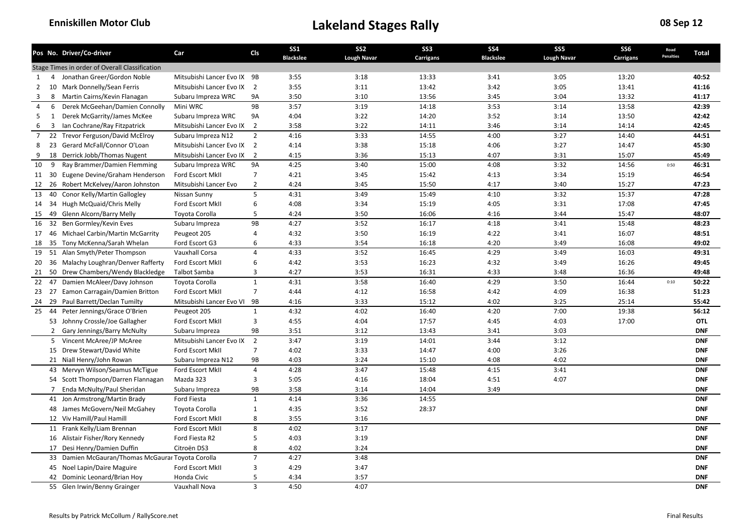|                |                | Pos No. Driver/Co-driver                          | Car                         | Cls            | <b>SS1</b>       | SS <sub>2</sub>    | SS <sub>3</sub> | <b>SS4</b>       | SS <sub>5</sub>    | SS <sub>6</sub> | Road<br><b>Penalties</b> | Total      |
|----------------|----------------|---------------------------------------------------|-----------------------------|----------------|------------------|--------------------|-----------------|------------------|--------------------|-----------------|--------------------------|------------|
|                |                |                                                   |                             |                | <b>Blackslee</b> | <b>Lough Navar</b> | Carrigans       | <b>Blackslee</b> | <b>Lough Navar</b> | Carrigans       |                          |            |
|                |                | Stage Times in order of Overall Classification    |                             |                |                  |                    |                 |                  |                    |                 |                          |            |
| 1              | 4              | Jonathan Greer/Gordon Noble                       | Mitsubishi Lancer Evo IX 9B |                | 3:55             | 3:18               | 13:33           | 3:41             | 3:05               | 13:20           |                          | 40:52      |
| 2              |                | 10 Mark Donnelly/Sean Ferris                      | Mitsubishi Lancer Evo IX    | $\overline{2}$ | 3:55             | 3:11               | 13:42           | 3:42             | 3:05               | 13:41           |                          | 41:16      |
| 3              | 8              | Martin Cairns/Kevin Flanagan                      | Subaru Impreza WRC          | 9A             | 3:50             | 3:10               | 13:56           | 3:45             | 3:04               | 13:32           |                          | 41:17      |
| 4              | 6              | Derek McGeehan/Damien Connolly                    | Mini WRC                    | 9B             | 3:57             | 3:19               | 14:18           | 3:53             | 3:14               | 13:58           |                          | 42:39      |
| 5              | 1              | Derek McGarrity/James McKee                       | Subaru Impreza WRC          | 9A             | 4:04             | 3:22               | 14:20           | 3:52             | 3:14               | 13:50           |                          | 42:42      |
| 6              | $\overline{3}$ | Ian Cochrane/Ray Fitzpatrick                      | Mitsubishi Lancer Evo IX    | $\overline{2}$ | 3:58             | 3:22               | 14:11           | 3:46             | 3:14               | 14:14           |                          | 42:45      |
| $\overline{7}$ |                | 22 Trevor Ferguson/David McElroy                  | Subaru Impreza N12          | $\overline{2}$ | 4:16             | 3:33               | 14:55           | 4:00             | 3:27               | 14:40           |                          | 44:51      |
| 8              |                | 23 Gerard McFall/Connor O'Loan                    | Mitsubishi Lancer Evo IX 2  |                | 4:14             | 3:38               | 15:18           | 4:06             | 3:27               | 14:47           |                          | 45:30      |
| 9              | 18             | Derrick Jobb/Thomas Nugent                        | Mitsubishi Lancer Evo IX    | $\overline{2}$ | 4:15             | 3:36               | 15:13           | 4:07             | 3:31               | 15:07           |                          | 45:49      |
| 10             | 9              | Ray Brammer/Damien Flemming                       | Subaru Impreza WRC          | <b>9A</b>      | 4:25             | 3:40               | 15:00           | 4:08             | 3:32               | 14:56           | 0:50                     | 46:31      |
|                |                | 11 30 Eugene Devine/Graham Henderson              | Ford Escort MkII            | 7              | 4:21             | 3:45               | 15:42           | 4:13             | 3:34               | 15:19           |                          | 46:54      |
| 12             |                | 26 Robert McKelvey/Aaron Johnston                 | Mitsubishi Lancer Evo       | $\overline{2}$ | 4:24             | 3:45               | 15:50           | 4:17             | 3:40               | 15:27           |                          | 47:23      |
| 13             | 40             | Conor Kelly/Martin Gallogley                      | Nissan Sunny                | 5              | 4:31             | 3:49               | 15:49           | 4:10             | 3:32               | 15:37           |                          | 47:28      |
| 14             |                | 34 Hugh McQuaid/Chris Melly                       | Ford Escort MkII            | 6              | 4:08             | 3:34               | 15:19           | 4:05             | 3:31               | 17:08           |                          | 47:45      |
| 15             |                | 49 Glenn Alcorn/Barry Melly                       | Toyota Corolla              | 5              | 4:24             | 3:50               | 16:06           | 4:16             | 3:44               | 15:47           |                          | 48:07      |
| 16             | 32             | Ben Gormley/Kevin Eves                            | Subaru Impreza              | 9B             | 4:27             | 3:52               | 16:17           | 4:18             | 3:41               | 15:48           |                          | 48:23      |
| 17             | 46             | Michael Carbin/Martin McGarrity                   | Peugeot 205                 | 4              | 4:32             | 3:50               | 16:19           | 4:22             | 3:41               | 16:07           |                          | 48:51      |
| 18             |                | 35 Tony McKenna/Sarah Whelan                      | Ford Escort G3              | 6              | 4:33             | 3:54               | 16:18           | 4:20             | 3:49               | 16:08           |                          | 49:02      |
| 19             |                | 51 Alan Smyth/Peter Thompson                      | Vauxhall Corsa              | $\overline{4}$ | 4:33             | 3:52               | 16:45           | 4:29             | 3:49               | 16:03           |                          | 49:31      |
| 20             |                | 36 Malachy Loughran/Denver Rafferty               | Ford Escort MkII            | 6              | 4:42             | 3:53               | 16:23           | 4:32             | 3:49               | 16:26           |                          | 49:45      |
| 21             |                | 50 Drew Chambers/Wendy Blackledge                 | Talbot Samba                | 3              | 4:27             | 3:53               | 16:31           | 4:33             | 3:48               | 16:36           |                          | 49:48      |
| 22             | 47             | Damien McAleer/Davy Johnson                       | Toyota Corolla              | $\mathbf{1}$   | 4:31             | 3:58               | 16:40           | 4:29             | 3:50               | 16:44           | 0:10                     | 50:22      |
|                |                | 23 27 Eamon Carragain/Damien Britton              | Ford Escort MkII            | $\overline{7}$ | 4:44             | 4:12               | 16:58           | 4:42             | 4:09               | 16:38           |                          | 51:23      |
| 24             |                | 29 Paul Barrett/Declan Tumilty                    | Mitsubishi Lancer Evo VI    | 9B             | 4:16             | 3:33               | 15:12           | 4:02             | 3:25               | 25:14           |                          | 55:42      |
| 25             | 44             | Peter Jennings/Grace O'Brien                      | Peugeot 205                 | $\mathbf{1}$   | 4:32             | 4:02               | 16:40           | 4:20             | 7:00               | 19:38           |                          | 56:12      |
|                |                | 53 Johnny Crossle/Joe Gallagher                   | Ford Escort MkII            | 3              | 4:55             | 4:04               | 17:57           | 4:45             | 4:03               | 17:00           |                          | OTL        |
|                |                | 2 Gary Jennings/Barry McNulty                     | Subaru Impreza              | 9B             | 3:51             | 3:12               | 13:43           | 3:41             | 3:03               |                 |                          | <b>DNF</b> |
|                |                | 5 Vincent McAree/JP McAree                        | Mitsubishi Lancer Evo IX    | $\overline{2}$ | 3:47             | 3:19               | 14:01           | 3:44             | 3:12               |                 |                          | <b>DNF</b> |
|                |                | 15 Drew Stewart/David White                       | Ford Escort MkII            | 7              | 4:02             | 3:33               | 14:47           | 4:00             | 3:26               |                 |                          | <b>DNF</b> |
|                |                | 21 Niall Henry/John Rowan                         | Subaru Impreza N12          | 9B             | 4:03             | 3:24               | 15:10           | 4:08             | 4:02               |                 |                          | <b>DNF</b> |
|                |                | 43 Mervyn Wilson/Seamus McTigue                   | Ford Escort MkII            | $\overline{4}$ | 4:28             | 3:47               | 15:48           | 4:15             | 3:41               |                 |                          | <b>DNF</b> |
|                |                | 54 Scott Thompson/Darren Flannagan                | Mazda 323                   | 3              | 5:05             | 4:16               | 18:04           | 4:51             | 4:07               |                 |                          | <b>DNF</b> |
|                | $\overline{7}$ | Enda McNulty/Paul Sheridan                        | Subaru Impreza              | 9B             | 3:58             | 3:14               | 14:04           | 3:49             |                    |                 |                          | <b>DNF</b> |
|                |                | 41 Jon Armstrong/Martin Brady                     | Ford Fiesta                 | $\mathbf{1}$   | 4:14             | 3:36               | 14:55           |                  |                    |                 |                          | <b>DNF</b> |
|                |                | 48 James McGovern/Neil McGahey                    | Toyota Corolla              | $\mathbf{1}$   | 4:35             | 3:52               | 28:37           |                  |                    |                 |                          | <b>DNF</b> |
|                |                | 12 Viv Hamill/Paul Hamill                         |                             | 8              | 3:55             | 3:16               |                 |                  |                    |                 |                          | <b>DNF</b> |
|                |                |                                                   | Ford Escort MkII            |                |                  |                    |                 |                  |                    |                 |                          |            |
|                |                | 11 Frank Kelly/Liam Brennan                       | Ford Escort MkII            | 8              | 4:02             | 3:17               |                 |                  |                    |                 |                          | <b>DNF</b> |
|                |                | 16 Alistair Fisher/Rory Kennedy                   | Ford Fiesta R2              | 5              | 4:03             | 3:19               |                 |                  |                    |                 |                          | <b>DNF</b> |
|                |                | 17 Desi Henry/Damien Duffin                       | Citroën DS3                 | 8              | 4:02             | 3:24               |                 |                  |                    |                 |                          | <b>DNF</b> |
|                |                | 33 Damien McGauran/Thomas McGaurar Toyota Corolla |                             | $\overline{7}$ | 4:27             | 3:48               |                 |                  |                    |                 |                          | <b>DNF</b> |
|                |                | 45 Noel Lapin/Daire Maguire                       | Ford Escort MkII            | 3              | 4:29             | 3:47               |                 |                  |                    |                 |                          | <b>DNF</b> |
|                |                | 42 Dominic Leonard/Brian Hoy                      | Honda Civic                 | 5              | 4:34             | 3:57               |                 |                  |                    |                 |                          | <b>DNF</b> |
|                |                | 55 Glen Irwin/Benny Grainger                      | Vauxhall Nova               | 3              | 4:50             | 4:07               |                 |                  |                    |                 |                          | <b>DNF</b> |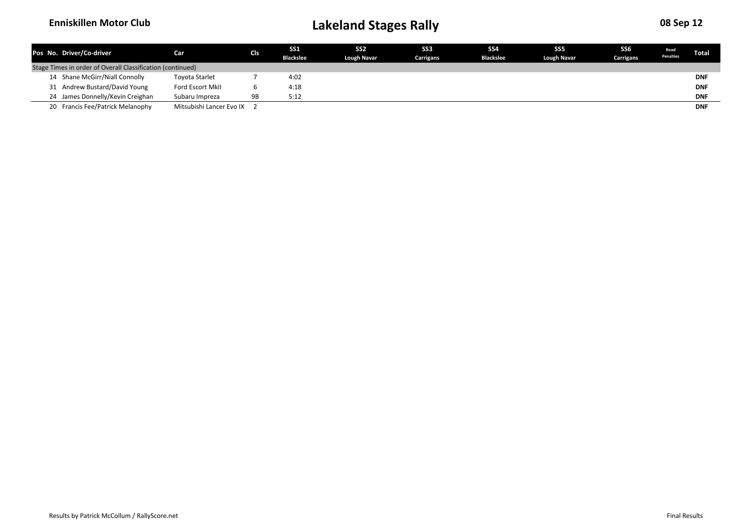| Pos No. Driver/Co-driver                                   | Car                        | <b>CIs</b> | <b>SS1</b>       | <b>SS2</b>         | SS <sub>3</sub> | SS <sub>4</sub>  | SS <sub>5</sub>    | SS <sub>6</sub> | Road             | Total      |
|------------------------------------------------------------|----------------------------|------------|------------------|--------------------|-----------------|------------------|--------------------|-----------------|------------------|------------|
|                                                            |                            |            | <b>Blackslee</b> | <b>Lough Navar</b> | Carrigans       | <b>Blackslee</b> | <b>Lough Navar</b> | Carrigans       | <b>Penalties</b> |            |
| Stage Times in order of Overall Classification (continued) |                            |            |                  |                    |                 |                  |                    |                 |                  |            |
| 14 Shane McGirr/Niall Connolly                             | <b>Toyota Starlet</b>      |            | 4:02             |                    |                 |                  |                    |                 |                  | <b>DNF</b> |
| 31 Andrew Bustard/David Young                              | Ford Escort MkII           |            | 4:18             |                    |                 |                  |                    |                 |                  | <b>DNF</b> |
| 24 James Donnelly/Kevin Creighan                           | Subaru Impreza             | 9B         | 5:12             |                    |                 |                  |                    |                 |                  | <b>DNF</b> |
| 20 Francis Fee/Patrick Melanophy                           | Mitsubishi Lancer Evo IX 2 |            |                  |                    |                 |                  |                    |                 |                  | <b>DNF</b> |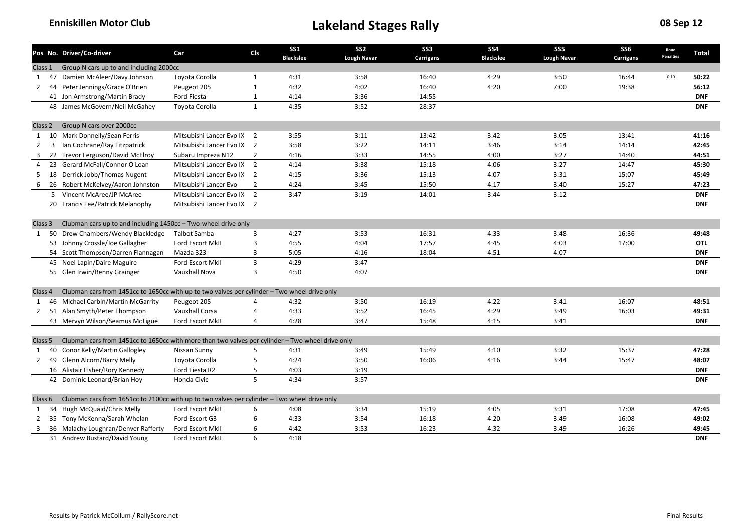|                |    | Pos No. Driver/Co-driver                                                                         | Car                        | Cls                          | <b>SS1</b>       | SS <sub>2</sub>    | SS <sub>3</sub>  | SS <sub>4</sub>  | SS <sub>5</sub>    | <b>SS6</b> | Road<br>Penalties | Total      |
|----------------|----|--------------------------------------------------------------------------------------------------|----------------------------|------------------------------|------------------|--------------------|------------------|------------------|--------------------|------------|-------------------|------------|
| Class 1        |    | Group N cars up to and including 2000cc                                                          |                            |                              | <b>Blackslee</b> | <b>Lough Navar</b> | <b>Carrigans</b> | <b>Blackslee</b> | <b>Lough Navar</b> | Carrigans  |                   |            |
| 1 47           |    | Damien McAleer/Davy Johnson                                                                      | Toyota Corolla             | $\mathbf{1}$                 | 4:31             | 3:58               | 16:40            | 4:29             | 3:50               | 16:44      | 0:10              | 50:22      |
| $\mathbf{2}$   | 44 | Peter Jennings/Grace O'Brien                                                                     | Peugeot 205                | $\mathbf{1}$                 | 4:32             | 4:02               | 16:40            | 4:20             | 7:00               | 19:38      |                   | 56:12      |
|                |    | 41 Jon Armstrong/Martin Brady                                                                    | Ford Fiesta                |                              | 4:14             | 3:36               | 14:55            |                  |                    |            |                   | <b>DNF</b> |
|                |    | 48 James McGovern/Neil McGahey                                                                   | Toyota Corolla             | $\mathbf{1}$<br>$\mathbf{1}$ | 4:35             | 3:52               | 28:37            |                  |                    |            |                   | <b>DNF</b> |
|                |    |                                                                                                  |                            |                              |                  |                    |                  |                  |                    |            |                   |            |
| Class 2        |    | Group N cars over 2000cc                                                                         |                            |                              |                  |                    |                  |                  |                    |            |                   |            |
| $\mathbf{1}$   |    | 10 Mark Donnelly/Sean Ferris                                                                     | Mitsubishi Lancer Evo IX 2 |                              | 3:55             | 3:11               | 13:42            | 3:42             | 3:05               | 13:41      |                   | 41:16      |
| 2              | 3  | Ian Cochrane/Ray Fitzpatrick                                                                     | Mitsubishi Lancer Evo IX 2 |                              | 3:58             | 3:22               | 14:11            | 3:46             | 3:14               | 14:14      |                   | 42:45      |
| 3              | 22 | Trevor Ferguson/David McElroy                                                                    | Subaru Impreza N12         | 2                            | 4:16             | 3:33               | 14:55            | 4:00             | 3:27               | 14:40      |                   | 44:51      |
| $\overline{a}$ |    | 23 Gerard McFall/Connor O'Loan                                                                   | Mitsubishi Lancer Evo IX 2 |                              | 4:14             | 3:38               | 15:18            | 4:06             | 3:27               | 14:47      |                   | 45:30      |
| 5              |    | 18 Derrick Jobb/Thomas Nugent                                                                    | Mitsubishi Lancer Evo IX 2 |                              | 4:15             | 3:36               | 15:13            | 4:07             | 3:31               | 15:07      |                   | 45:49      |
| -6             |    | 26 Robert McKelvey/Aaron Johnston                                                                | Mitsubishi Lancer Evo      | $\overline{2}$               | 4:24             | 3:45               | 15:50            | 4:17             | 3:40               | 15:27      |                   | 47:23      |
|                |    | 5 Vincent McAree/JP McAree                                                                       | Mitsubishi Lancer Evo IX 2 |                              | 3:47             | 3:19               | 14:01            | 3:44             | 3:12               |            |                   | <b>DNF</b> |
|                |    | 20 Francis Fee/Patrick Melanophy                                                                 | Mitsubishi Lancer Evo IX 2 |                              |                  |                    |                  |                  |                    |            |                   | <b>DNF</b> |
|                |    |                                                                                                  |                            |                              |                  |                    |                  |                  |                    |            |                   |            |
| Class 3        |    | Clubman cars up to and including 1450cc - Two-wheel drive only                                   |                            |                              |                  |                    |                  |                  |                    |            |                   |            |
| 1              | 50 | Drew Chambers/Wendy Blackledge                                                                   | Talbot Samba               | 3                            | 4:27             | 3:53               | 16:31            | 4:33             | 3:48               | 16:36      |                   | 49:48      |
|                |    | 53 Johnny Crossle/Joe Gallagher                                                                  | Ford Escort MkII           | 3                            | 4:55             | 4:04               | 17:57            | 4:45             | 4:03               | 17:00      |                   | <b>OTL</b> |
|                |    | 54 Scott Thompson/Darren Flannagan                                                               | Mazda 323                  | 3                            | 5:05             | 4:16               | 18:04            | 4:51             | 4:07               |            |                   | <b>DNF</b> |
|                |    | 45 Noel Lapin/Daire Maguire                                                                      | Ford Escort MkII           | $\overline{3}$               | 4:29             | 3:47               |                  |                  |                    |            |                   | <b>DNF</b> |
|                |    | 55 Glen Irwin/Benny Grainger                                                                     | Vauxhall Nova              | 3                            | 4:50             | 4:07               |                  |                  |                    |            |                   | <b>DNF</b> |
|                |    |                                                                                                  |                            |                              |                  |                    |                  |                  |                    |            |                   |            |
| Class 4        |    | Clubman cars from 1451cc to 1650cc with up to two valves per cylinder - Two wheel drive only     |                            |                              |                  |                    |                  |                  |                    |            |                   |            |
| 1              |    | 46 Michael Carbin/Martin McGarrity                                                               | Peugeot 205                | 4                            | 4:32             | 3:50               | 16:19            | 4:22             | 3:41               | 16:07      |                   | 48:51      |
| $\overline{2}$ |    | 51 Alan Smyth/Peter Thompson                                                                     | Vauxhall Corsa             | 4                            | 4:33             | 3:52               | 16:45            | 4:29             | 3:49               | 16:03      |                   | 49:31      |
|                |    | 43 Mervyn Wilson/Seamus McTigue                                                                  | Ford Escort MkII           | 4                            | 4:28             | 3:47               | 15:48            | 4:15             | 3:41               |            |                   | <b>DNF</b> |
|                |    |                                                                                                  |                            |                              |                  |                    |                  |                  |                    |            |                   |            |
| Class 5        |    | Clubman cars from 1451cc to 1650cc with more than two valves per cylinder - Two wheel drive only |                            |                              |                  |                    |                  |                  |                    |            |                   |            |
| 1              | 40 | Conor Kelly/Martin Gallogley                                                                     | Nissan Sunny               | 5                            | 4:31             | 3:49               | 15:49            | 4:10             | 3:32               | 15:37      |                   | 47:28      |
| $\mathbf{2}$   | 49 | Glenn Alcorn/Barry Melly                                                                         | Toyota Corolla             | 5                            | 4:24             | 3:50               | 16:06            | 4:16             | 3:44               | 15:47      |                   | 48:07      |
|                |    | 16 Alistair Fisher/Rory Kennedy                                                                  | Ford Fiesta R2             | 5                            | 4:03             | 3:19               |                  |                  |                    |            |                   | <b>DNF</b> |
|                |    | 42 Dominic Leonard/Brian Hoy                                                                     | Honda Civic                | 5                            | 4:34             | 3:57               |                  |                  |                    |            |                   | <b>DNF</b> |
|                |    |                                                                                                  |                            |                              |                  |                    |                  |                  |                    |            |                   |            |
| Class 6        |    | Clubman cars from 1651cc to 2100cc with up to two valves per cylinder - Two wheel drive only     |                            |                              |                  |                    |                  |                  |                    |            |                   |            |
| 1              | 34 | Hugh McQuaid/Chris Melly                                                                         | <b>Ford Escort MkII</b>    | 6                            | 4:08             | 3:34               | 15:19            | 4:05             | 3:31               | 17:08      |                   | 47:45      |
| $\mathbf{2}$   |    | 35 Tony McKenna/Sarah Whelan                                                                     | Ford Escort G3             | 6                            | 4:33             | 3:54               | 16:18            | 4:20             | 3:49               | 16:08      |                   | 49:02      |
| 3              |    | 36 Malachy Loughran/Denver Rafferty                                                              | Ford Escort MkII           | 6                            | 4:42             | 3:53               | 16:23            | 4:32             | 3:49               | 16:26      |                   | 49:45      |
|                |    | 31 Andrew Bustard/David Young                                                                    | Ford Escort MkII           | 6                            | 4:18             |                    |                  |                  |                    |            |                   | <b>DNF</b> |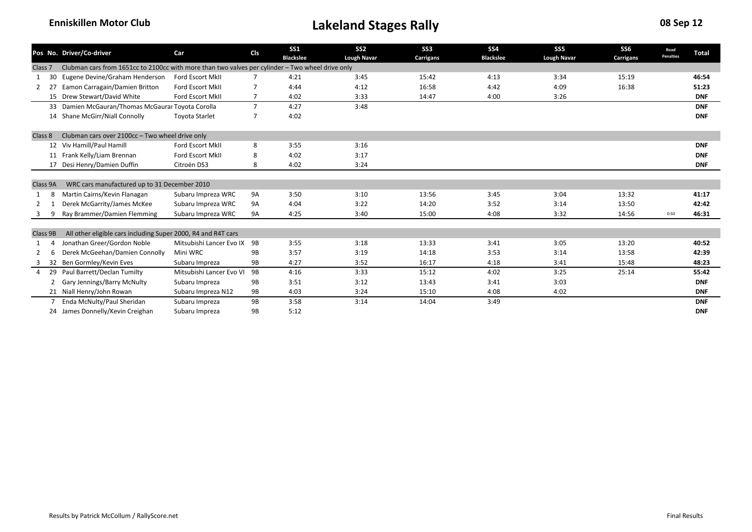|                    |    | Pos No. Driver/Co-driver                                                                         | Car                         | <b>CIs</b>     | <b>SS1</b><br><b>Blackslee</b> | SS <sub>2</sub><br><b>Lough Navar</b> | SS <sub>3</sub><br>Carrigans | SS <sub>4</sub><br><b>Blackslee</b> | SS <sub>5</sub><br><b>Lough Navar</b> | SS6<br>Carrigans | Road<br><b>Penalties</b> | <b>Total</b> |
|--------------------|----|--------------------------------------------------------------------------------------------------|-----------------------------|----------------|--------------------------------|---------------------------------------|------------------------------|-------------------------------------|---------------------------------------|------------------|--------------------------|--------------|
| Class <sub>7</sub> |    | Clubman cars from 1651cc to 2100cc with more than two valves per cylinder - Two wheel drive only |                             |                |                                |                                       |                              |                                     |                                       |                  |                          |              |
|                    | 30 | Eugene Devine/Graham Henderson                                                                   | <b>Ford Escort MkII</b>     |                | 4:21                           | 3:45                                  | 15:42                        | 4:13                                | 3:34                                  | 15:19            |                          | 46:54        |
| 2                  | 27 | Eamon Carragain/Damien Britton                                                                   | <b>Ford Escort MkII</b>     | 7              | 4:44                           | 4:12                                  | 16:58                        | 4:42                                | 4:09                                  | 16:38            |                          | 51:23        |
|                    |    | 15 Drew Stewart/David White                                                                      | Ford Escort MkII            | $\overline{7}$ | 4:02                           | 3:33                                  | 14:47                        | 4:00                                | 3:26                                  |                  |                          | <b>DNF</b>   |
|                    |    | 33 Damien McGauran/Thomas McGaurar Toyota Corolla                                                |                             | $\overline{7}$ | 4:27                           | 3:48                                  |                              |                                     |                                       |                  |                          | <b>DNF</b>   |
|                    |    | 14 Shane McGirr/Niall Connolly                                                                   | <b>Toyota Starlet</b>       | 7              | 4:02                           |                                       |                              |                                     |                                       |                  |                          | <b>DNF</b>   |
| Class 8            |    | Clubman cars over 2100cc - Two wheel drive only                                                  |                             |                |                                |                                       |                              |                                     |                                       |                  |                          |              |
|                    |    | 12 Viv Hamill/Paul Hamill                                                                        | <b>Ford Escort MkII</b>     | 8              | 3:55                           | 3:16                                  |                              |                                     |                                       |                  |                          | <b>DNF</b>   |
|                    |    | 11 Frank Kelly/Liam Brennan                                                                      | <b>Ford Escort MkII</b>     | 8              | 4:02                           | 3:17                                  |                              |                                     |                                       |                  |                          | <b>DNF</b>   |
|                    |    | 17 Desi Henry/Damien Duffin                                                                      | Citroën DS3                 | 8              | 4:02                           | 3:24                                  |                              |                                     |                                       |                  |                          | <b>DNF</b>   |
|                    |    |                                                                                                  |                             |                |                                |                                       |                              |                                     |                                       |                  |                          |              |
| Class 9A           |    | WRC cars manufactured up to 31 December 2010                                                     |                             |                |                                |                                       |                              |                                     |                                       |                  |                          |              |
|                    | 8  | Martin Cairns/Kevin Flanagan                                                                     | Subaru Impreza WRC          | 9A             | 3:50                           | 3:10                                  | 13:56                        | 3:45                                | 3:04                                  | 13:32            |                          | 41:17        |
|                    |    | Derek McGarrity/James McKee                                                                      | Subaru Impreza WRC          | 9A             | 4:04                           | 3:22                                  | 14:20                        | 3:52                                | 3:14                                  | 13:50            |                          | 42:42        |
|                    |    | Ray Brammer/Damien Flemming                                                                      | Subaru Impreza WRC          | <b>9A</b>      | 4:25                           | 3:40                                  | 15:00                        | 4:08                                | 3:32                                  | 14:56            | 0:50                     | 46:31        |
|                    |    |                                                                                                  |                             |                |                                |                                       |                              |                                     |                                       |                  |                          |              |
| Class 9B           |    | All other eligible cars including Super 2000, R4 and R4T cars                                    |                             |                |                                |                                       |                              |                                     |                                       |                  |                          |              |
|                    |    | Jonathan Greer/Gordon Noble                                                                      | Mitsubishi Lancer Evo IX 9B |                | 3:55                           | 3:18                                  | 13:33                        | 3:41                                | 3:05                                  | 13:20            |                          | 40:52        |
|                    | 6  | Derek McGeehan/Damien Connolly                                                                   | Mini WRC                    | 9B             | 3:57                           | 3:19                                  | 14:18                        | 3:53                                | 3:14                                  | 13:58            |                          | 42:39        |
|                    |    | 32 Ben Gormley/Kevin Eves                                                                        | Subaru Impreza              | 9B             | 4:27                           | 3:52                                  | 16:17                        | 4:18                                | 3:41                                  | 15:48            |                          | 48:23        |
|                    | 29 | Paul Barrett/Declan Tumilty                                                                      | Mitsubishi Lancer Evo VI    | 9B             | 4:16                           | 3:33                                  | 15:12                        | 4:02                                | 3:25                                  | 25:14            |                          | 55:42        |
|                    | 2  | <b>Gary Jennings/Barry McNulty</b>                                                               | Subaru Impreza              | 9B             | 3:51                           | 3:12                                  | 13:43                        | 3:41                                | 3:03                                  |                  |                          | <b>DNF</b>   |
|                    |    | 21 Niall Henry/John Rowan                                                                        | Subaru Impreza N12          | 9B             | 4:03                           | 3:24                                  | 15:10                        | 4:08                                | 4:02                                  |                  |                          | <b>DNF</b>   |
|                    |    | Enda McNulty/Paul Sheridan                                                                       | Subaru Impreza              | 9B             | 3:58                           | 3:14                                  | 14:04                        | 3:49                                |                                       |                  |                          | <b>DNF</b>   |
|                    |    | 24 James Donnelly/Kevin Creighan                                                                 | Subaru Impreza              | 9B             | 5:12                           |                                       |                              |                                     |                                       |                  |                          | <b>DNF</b>   |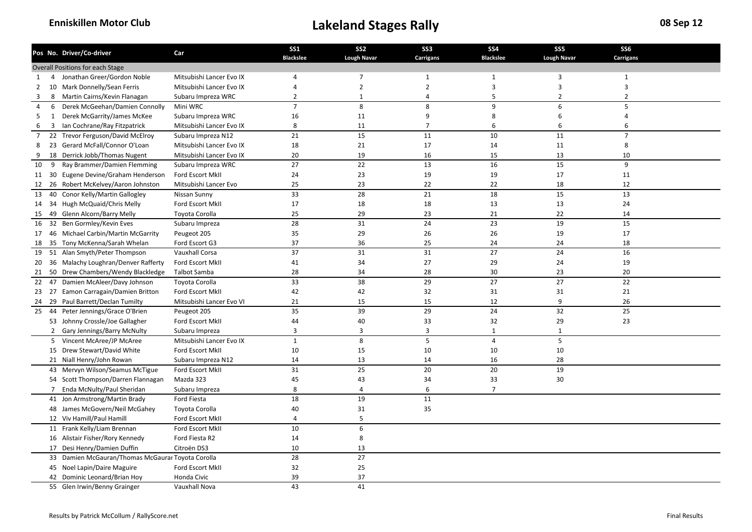|                |                | Pos No. Driver/Co-driver                          | Car                      | <b>SS1</b>       | SS <sub>2</sub>    | SS <sub>3</sub>  | <b>SS4</b>              | SS <sub>5</sub>    | SS <sub>6</sub> |  |
|----------------|----------------|---------------------------------------------------|--------------------------|------------------|--------------------|------------------|-------------------------|--------------------|-----------------|--|
|                |                |                                                   |                          | <b>Blackslee</b> | <b>Lough Navar</b> | <b>Carrigans</b> | <b>Blackslee</b>        | <b>Lough Navar</b> | Carrigans       |  |
|                |                | Overall Positions for each Stage                  |                          |                  |                    |                  |                         |                    |                 |  |
| 1              | 4              | Jonathan Greer/Gordon Noble                       | Mitsubishi Lancer Evo IX | 4                | $\overline{7}$     | $\mathbf{1}$     | 1                       | 3                  | $\mathbf{1}$    |  |
| 2              |                | 10 Mark Donnelly/Sean Ferris                      | Mitsubishi Lancer Evo IX | 4                | $\overline{2}$     | $\overline{2}$   | $\overline{\mathbf{3}}$ | 3                  | 3               |  |
| 3              | 8              | Martin Cairns/Kevin Flanagan                      | Subaru Impreza WRC       | $\overline{2}$   | 1                  | $\overline{a}$   | 5                       | $\overline{2}$     | $\overline{2}$  |  |
| 4              | 6              | Derek McGeehan/Damien Connolly                    | Mini WRC                 | $\overline{7}$   | 8                  | 8                | 9                       | 6                  | 5               |  |
| .5             | 1              | Derek McGarrity/James McKee                       | Subaru Impreza WRC       | 16               | 11                 | 9                | 8                       | 6                  | 4               |  |
| 6              | 3              | Ian Cochrane/Ray Fitzpatrick                      | Mitsubishi Lancer Evo IX | 8                | 11                 | $\overline{7}$   | 6                       | 6                  | 6               |  |
| $\overline{7}$ |                | 22 Trevor Ferguson/David McElroy                  | Subaru Impreza N12       | 21               | 15                 | 11               | 10                      | 11                 | $\overline{7}$  |  |
| 8              |                | 23 Gerard McFall/Connor O'Loan                    | Mitsubishi Lancer Evo IX | 18               | 21                 | 17               | 14                      | 11                 | 8               |  |
| 9              |                | 18 Derrick Jobb/Thomas Nugent                     | Mitsubishi Lancer Evo IX | 20               | 19                 | 16               | 15                      | 13                 | 10              |  |
| 10             | 9              | Ray Brammer/Damien Flemming                       | Subaru Impreza WRC       | 27               | 22                 | 13               | 16                      | 15                 | 9               |  |
|                |                | 11 30 Eugene Devine/Graham Henderson              | Ford Escort MkII         | 24               | 23                 | 19               | 19                      | 17                 | 11              |  |
| 12             |                | 26 Robert McKelvey/Aaron Johnston                 | Mitsubishi Lancer Evo    | 25               | 23                 | 22               | 22                      | 18                 | 12              |  |
| 13             | 40             | Conor Kelly/Martin Gallogley                      | Nissan Sunny             | 33               | 28                 | 21               | 18                      | 15                 | 13              |  |
| 14             |                | 34 Hugh McQuaid/Chris Melly                       | Ford Escort MkII         | 17               | 18                 | 18               | 13                      | 13                 | 24              |  |
| 15             |                | 49 Glenn Alcorn/Barry Melly                       | Toyota Corolla           | 25               | 29                 | 23               | 21                      | 22                 | 14              |  |
| 16             | 32             | Ben Gormley/Kevin Eves                            | Subaru Impreza           | 28               | 31                 | 24               | 23                      | 19                 | 15              |  |
| 17             |                | 46 Michael Carbin/Martin McGarrity                | Peugeot 205              | 35               | 29                 | 26               | 26                      | 19                 | 17              |  |
| 18             |                | 35 Tony McKenna/Sarah Whelan                      | Ford Escort G3           | 37               | 36                 | 25               | 24                      | 24                 | 18              |  |
| 19             |                | 51 Alan Smyth/Peter Thompson                      | Vauxhall Corsa           | 37               | 31                 | 31               | 27                      | 24                 | 16              |  |
| 20             |                | 36 Malachy Loughran/Denver Rafferty               | Ford Escort MkII         | 41               | 34                 | 27               | 29                      | 24                 | 19              |  |
| 21             |                | 50 Drew Chambers/Wendy Blackledge                 | <b>Talbot Samba</b>      | 28               | 34                 | 28               | 30                      | 23                 | 20              |  |
| 22             |                | 47 Damien McAleer/Davy Johnson                    | Toyota Corolla           | 33               | 38                 | 29               | 27                      | 27                 | 22              |  |
|                |                | 23 27 Eamon Carragain/Damien Britton              | Ford Escort MkII         | 42               | 42                 | 32               | 31                      | 31                 | 21              |  |
| 24             |                | 29 Paul Barrett/Declan Tumilty                    | Mitsubishi Lancer Evo VI | 21               | 15                 | 15               | 12                      | 9                  | 26              |  |
| 25             |                | 44 Peter Jennings/Grace O'Brien                   | Peugeot 205              | 35               | 39                 | 29               | 24                      | 32                 | 25              |  |
|                |                | 53 Johnny Crossle/Joe Gallagher                   | Ford Escort MkII         | 44               | 40                 | 33               | 32                      | 29                 | 23              |  |
|                | $\overline{2}$ | Gary Jennings/Barry McNulty                       | Subaru Impreza           | 3                | $\overline{3}$     | 3                | $\mathbf{1}$            | $\mathbf{1}$       |                 |  |
|                |                | 5 Vincent McAree/JP McAree                        | Mitsubishi Lancer Evo IX | $\mathbf 1$      | 8                  | 5                | $\overline{4}$          | 5                  |                 |  |
|                |                | 15 Drew Stewart/David White                       | Ford Escort MkII         | 10               | 15                 | 10               | 10                      | 10                 |                 |  |
|                |                | 21 Niall Henry/John Rowan                         | Subaru Impreza N12       | 14               | 13                 | 14               | 16                      | 28                 |                 |  |
|                |                | 43 Mervyn Wilson/Seamus McTigue                   | Ford Escort MkII         | 31               | 25                 | 20               | 20                      | 19                 |                 |  |
|                |                | 54 Scott Thompson/Darren Flannagan                | Mazda 323                | 45               | 43                 | 34               | 33                      | 30                 |                 |  |
|                |                | 7 Enda McNulty/Paul Sheridan                      | Subaru Impreza           | 8                | $\overline{4}$     | 6                | $\overline{7}$          |                    |                 |  |
|                |                | 41 Jon Armstrong/Martin Brady                     | Ford Fiesta              | 18               | 19                 | 11               |                         |                    |                 |  |
|                |                | 48 James McGovern/Neil McGahey                    | Toyota Corolla           | 40               | 31                 | 35               |                         |                    |                 |  |
|                |                | 12 Viv Hamill/Paul Hamill                         | Ford Escort MkII         | $\overline{4}$   | 5                  |                  |                         |                    |                 |  |
|                |                | 11 Frank Kelly/Liam Brennan                       | Ford Escort MkII         | 10               | 6                  |                  |                         |                    |                 |  |
|                |                | 16 Alistair Fisher/Rory Kennedy                   | Ford Fiesta R2           | 14               | 8                  |                  |                         |                    |                 |  |
|                |                | 17 Desi Henry/Damien Duffin                       | Citroën DS3              | 10               | 13                 |                  |                         |                    |                 |  |
|                |                | 33 Damien McGauran/Thomas McGaurar Toyota Corolla |                          | 28               | 27                 |                  |                         |                    |                 |  |
|                |                | 45 Noel Lapin/Daire Maguire                       | Ford Escort MkII         | 32               | 25                 |                  |                         |                    |                 |  |
|                |                | 42 Dominic Leonard/Brian Hoy                      | Honda Civic              | 39               | 37                 |                  |                         |                    |                 |  |
|                |                | 55 Glen Irwin/Benny Grainger                      | Vauxhall Nova            | 43               | 41                 |                  |                         |                    |                 |  |
|                |                |                                                   |                          |                  |                    |                  |                         |                    |                 |  |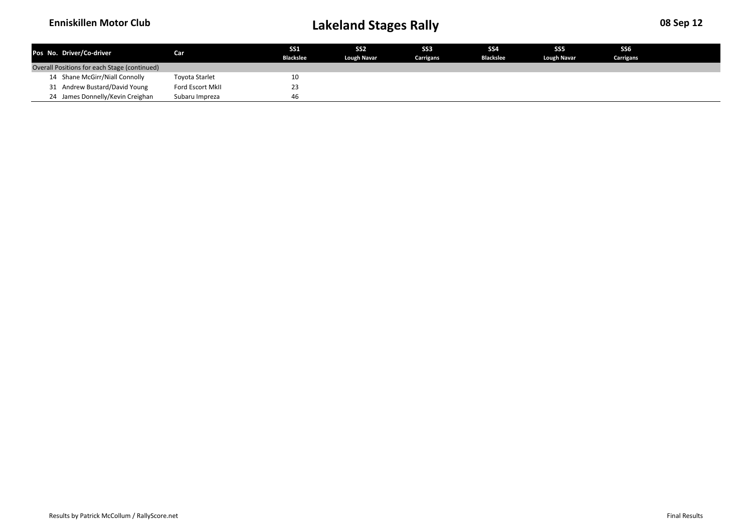| Pos No. Driver/Co-driver                     | Car I                 | <b>SS1</b><br><b>Blackslee</b> | SS <sub>2</sub><br><b>Lough Navar</b> | SS <sub>3</sub><br>Carrigans | SS <sub>4</sub><br><b>Blackslee</b> | SS <sub>5</sub><br><b>Lough Navar</b> | SS <sub>6</sub><br>Carrigans |  |
|----------------------------------------------|-----------------------|--------------------------------|---------------------------------------|------------------------------|-------------------------------------|---------------------------------------|------------------------------|--|
| Overall Positions for each Stage (continued) |                       |                                |                                       |                              |                                     |                                       |                              |  |
| 14 Shane McGirr/Niall Connolly               | <b>Toyota Starlet</b> | 10                             |                                       |                              |                                     |                                       |                              |  |
| 31 Andrew Bustard/David Young                | Ford Escort MkII      | 23                             |                                       |                              |                                     |                                       |                              |  |
| 24 James Donnelly/Kevin Creighan             | Subaru Impreza        | 46                             |                                       |                              |                                     |                                       |                              |  |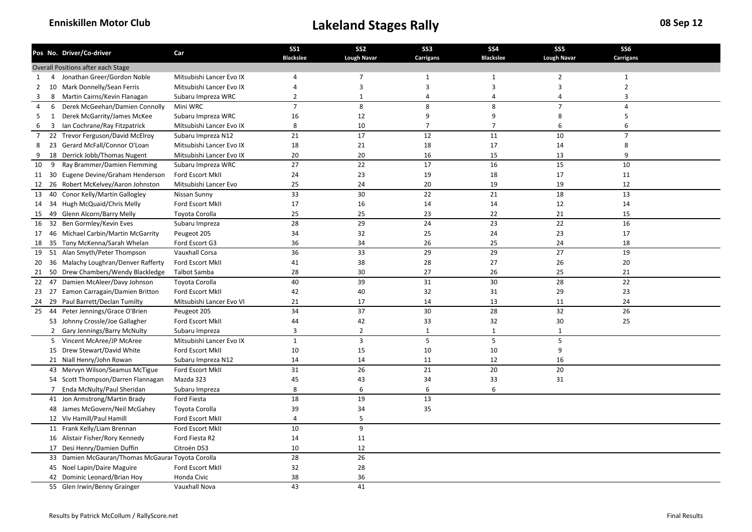|                |                | Pos No. Driver/Co-driver                          | Car                      | <b>SS1</b>       | SS <sub>2</sub>    | SS <sub>3</sub>  | <b>SS4</b>              | SS <sub>5</sub>    | SS <sub>6</sub> |  |
|----------------|----------------|---------------------------------------------------|--------------------------|------------------|--------------------|------------------|-------------------------|--------------------|-----------------|--|
|                |                |                                                   |                          | <b>Blackslee</b> | <b>Lough Navar</b> | <b>Carrigans</b> | <b>Blackslee</b>        | <b>Lough Navar</b> | Carrigans       |  |
|                |                | Overall Positions after each Stage                |                          |                  |                    |                  |                         |                    |                 |  |
| 1              | 4              | Jonathan Greer/Gordon Noble                       | Mitsubishi Lancer Evo IX | 4                | $\overline{7}$     | $\mathbf{1}$     | 1                       | $\overline{2}$     | $\mathbf{1}$    |  |
| 2              |                | 10 Mark Donnelly/Sean Ferris                      | Mitsubishi Lancer Evo IX | 4                | $\overline{3}$     | 3                | $\overline{\mathbf{3}}$ | 3                  | $\overline{2}$  |  |
| 3              | 8              | Martin Cairns/Kevin Flanagan                      | Subaru Impreza WRC       | $\overline{2}$   | 1                  | $\overline{a}$   | $\overline{4}$          | $\overline{4}$     | 3               |  |
| 4              | 6              | Derek McGeehan/Damien Connolly                    | Mini WRC                 | $\overline{7}$   | 8                  | 8                | 8                       | $\overline{7}$     | $\overline{4}$  |  |
| .5             | 1              | Derek McGarrity/James McKee                       | Subaru Impreza WRC       | 16               | 12                 | 9                | 9                       | 8                  | 5               |  |
| 6              | 3              | Ian Cochrane/Ray Fitzpatrick                      | Mitsubishi Lancer Evo IX | 8                | 10                 | $\overline{7}$   | $\overline{7}$          | 6                  | 6               |  |
| $\overline{7}$ |                | 22 Trevor Ferguson/David McElroy                  | Subaru Impreza N12       | 21               | 17                 | 12               | 11                      | 10                 | $\overline{7}$  |  |
| 8              |                | 23 Gerard McFall/Connor O'Loan                    | Mitsubishi Lancer Evo IX | 18               | 21                 | 18               | 17                      | 14                 | 8               |  |
| 9              |                | 18 Derrick Jobb/Thomas Nugent                     | Mitsubishi Lancer Evo IX | 20               | 20                 | 16               | 15                      | 13                 | 9               |  |
| 10             | 9              | Ray Brammer/Damien Flemming                       | Subaru Impreza WRC       | 27               | 22                 | 17               | 16                      | 15                 | 10              |  |
|                |                | 11 30 Eugene Devine/Graham Henderson              | Ford Escort MkII         | 24               | 23                 | 19               | 18                      | 17                 | 11              |  |
| 12             |                | 26 Robert McKelvey/Aaron Johnston                 | Mitsubishi Lancer Evo    | 25               | 24                 | 20               | 19                      | 19                 | 12              |  |
| 13             | 40             | Conor Kelly/Martin Gallogley                      | Nissan Sunny             | 33               | 30                 | 22               | 21                      | 18                 | 13              |  |
| 14             |                | 34 Hugh McQuaid/Chris Melly                       | Ford Escort MkII         | 17               | 16                 | 14               | 14                      | 12                 | 14              |  |
| 15             |                | 49 Glenn Alcorn/Barry Melly                       | Toyota Corolla           | 25               | 25                 | 23               | 22                      | 21                 | 15              |  |
| 16             | 32             | Ben Gormley/Kevin Eves                            | Subaru Impreza           | 28               | 29                 | 24               | 23                      | 22                 | 16              |  |
| 17             |                | 46 Michael Carbin/Martin McGarrity                | Peugeot 205              | 34               | 32                 | 25               | 24                      | 23                 | 17              |  |
| 18             |                | 35 Tony McKenna/Sarah Whelan                      | Ford Escort G3           | 36               | 34                 | 26               | 25                      | 24                 | 18              |  |
| 19             |                | 51 Alan Smyth/Peter Thompson                      | Vauxhall Corsa           | 36               | 33                 | 29               | 29                      | 27                 | 19              |  |
| 20             |                | 36 Malachy Loughran/Denver Rafferty               | Ford Escort MkII         | 41               | 38                 | 28               | 27                      | 26                 | 20              |  |
| 21             |                | 50 Drew Chambers/Wendy Blackledge                 | <b>Talbot Samba</b>      | 28               | 30                 | 27               | 26                      | 25                 | 21              |  |
| 22             |                | 47 Damien McAleer/Davy Johnson                    | Toyota Corolla           | 40               | 39                 | 31               | 30                      | 28                 | 22              |  |
|                |                | 23 27 Eamon Carragain/Damien Britton              | Ford Escort MkII         | 42               | 40                 | 32               | 31                      | 29                 | 23              |  |
| 24             |                | 29 Paul Barrett/Declan Tumilty                    | Mitsubishi Lancer Evo VI | 21               | 17                 | 14               | 13                      | 11                 | 24              |  |
| 25             |                | 44 Peter Jennings/Grace O'Brien                   | Peugeot 205              | 34               | 37                 | 30               | 28                      | 32                 | 26              |  |
|                |                | 53 Johnny Crossle/Joe Gallagher                   | Ford Escort MkII         | 44               | 42                 | 33               | 32                      | 30                 | 25              |  |
|                | $\overline{2}$ | Gary Jennings/Barry McNulty                       | Subaru Impreza           | 3                | $\overline{2}$     | $\mathbf{1}$     | $\mathbf{1}$            | $\mathbf{1}$       |                 |  |
|                |                | 5 Vincent McAree/JP McAree                        | Mitsubishi Lancer Evo IX | $\mathbf 1$      | 3                  | 5                | 5                       | 5                  |                 |  |
|                |                | 15 Drew Stewart/David White                       | Ford Escort MkII         | 10               | 15                 | 10               | 10                      | 9                  |                 |  |
|                |                | 21 Niall Henry/John Rowan                         | Subaru Impreza N12       | 14               | 14                 | 11               | 12                      | 16                 |                 |  |
|                |                | 43 Mervyn Wilson/Seamus McTigue                   | Ford Escort MkII         | 31               | 26                 | 21               | 20                      | 20                 |                 |  |
|                |                | 54 Scott Thompson/Darren Flannagan                | Mazda 323                | 45               | 43                 | 34               | 33                      | 31                 |                 |  |
|                |                | 7 Enda McNulty/Paul Sheridan                      | Subaru Impreza           | 8                | 6                  | 6                | 6                       |                    |                 |  |
|                |                | 41 Jon Armstrong/Martin Brady                     | Ford Fiesta              | 18               | 19                 | 13               |                         |                    |                 |  |
|                |                | 48 James McGovern/Neil McGahey                    | Toyota Corolla           | 39               | 34                 | 35               |                         |                    |                 |  |
|                |                | 12 Viv Hamill/Paul Hamill                         | Ford Escort MkII         | $\overline{4}$   | 5                  |                  |                         |                    |                 |  |
|                |                | 11 Frank Kelly/Liam Brennan                       | Ford Escort MkII         | 10               | 9                  |                  |                         |                    |                 |  |
|                |                | 16 Alistair Fisher/Rory Kennedy                   | Ford Fiesta R2           | 14               | 11                 |                  |                         |                    |                 |  |
|                |                | 17 Desi Henry/Damien Duffin                       | Citroën DS3              | 10               | 12                 |                  |                         |                    |                 |  |
|                |                | 33 Damien McGauran/Thomas McGaurar Toyota Corolla |                          | 28               | 26                 |                  |                         |                    |                 |  |
|                |                | 45 Noel Lapin/Daire Maguire                       | Ford Escort MkII         | 32               | 28                 |                  |                         |                    |                 |  |
|                |                | 42 Dominic Leonard/Brian Hoy                      | Honda Civic              | 38               | 36                 |                  |                         |                    |                 |  |
|                |                | 55 Glen Irwin/Benny Grainger                      | Vauxhall Nova            | 43               | 41                 |                  |                         |                    |                 |  |
|                |                |                                                   |                          |                  |                    |                  |                         |                    |                 |  |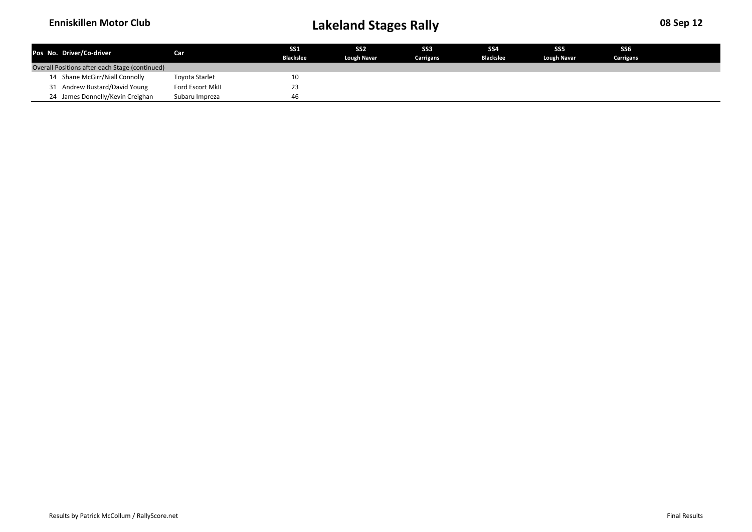| Pos No. Driver/Co-driver                       | <b>Car</b>       | <b>SS1</b><br><b>Blackslee</b> | SS <sub>2</sub><br>Lough Navar | SS <sub>3</sub><br>Carrigans | SS <sub>4</sub><br><b>Blackslee</b> | SS <sub>5</sub><br><b>Lough Navar</b> | SS <sub>6</sub><br>Carrigans |  |
|------------------------------------------------|------------------|--------------------------------|--------------------------------|------------------------------|-------------------------------------|---------------------------------------|------------------------------|--|
| Overall Positions after each Stage (continued) |                  |                                |                                |                              |                                     |                                       |                              |  |
| 14 Shane McGirr/Niall Connolly                 | Toyota Starlet   | 10                             |                                |                              |                                     |                                       |                              |  |
| 31 Andrew Bustard/David Young                  | Ford Escort MkII | 23                             |                                |                              |                                     |                                       |                              |  |
| 24 James Donnelly/Kevin Creighan               | Subaru Impreza   | 46                             |                                |                              |                                     |                                       |                              |  |